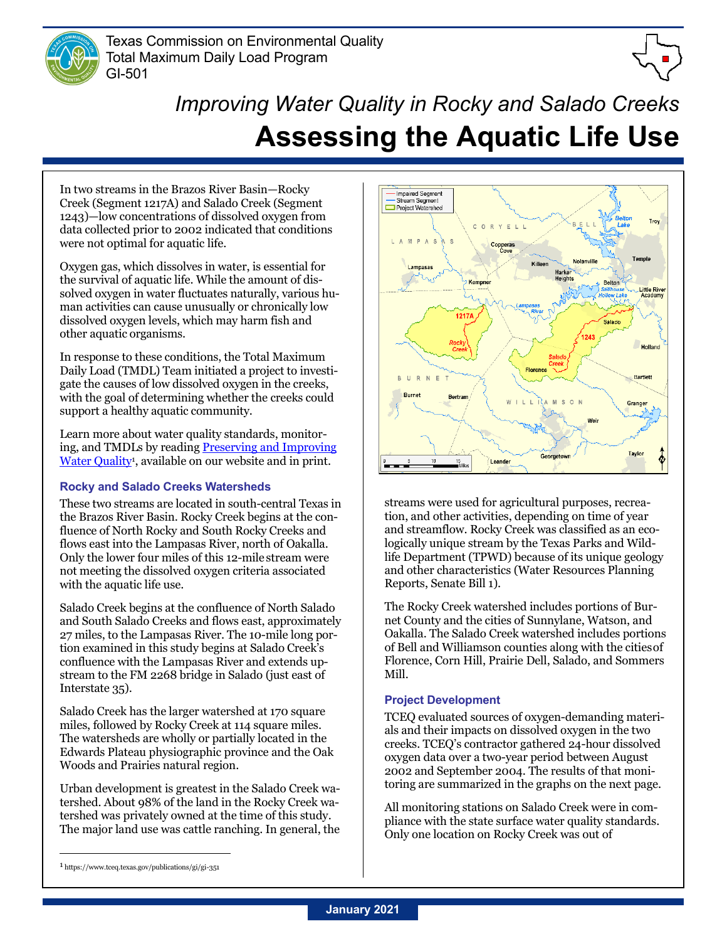

Texas Commission on Environmental Quality Total Maximum Daily Load Program GI-501



# *Improving Water Quality in Rocky and Salado Creeks* **Assessing the Aquatic Life Use**

In two streams in the Brazos River Basin—Rocky Creek (Segment 1217A) and Salado Creek (Segment 1243)—low concentrations of dissolved oxygen from data collected prior to 2002 indicated that conditions were not optimal for aquatic life.

Oxygen gas, which dissolves in water, is essential for the survival of aquatic life. While the amount of dissolved oxygen in water fluctuates naturally, various human activities can cause unusually or chronically low dissolved oxygen levels, which may harm fish and other aquatic organisms.

In response to these conditions, the Total Maximum Daily Load (TMDL) Team initiated a project to investigate the causes of low dissolved oxygen in the creeks, with the goal of determining whether the creeks could support a healthy aquatic community.

Learn more about water quality standards, monitoring, and TMDLs by readin[g Preserving and Improving](https://www.tceq.texas.gov/publications/gi/gi-351)  Water Quality<sup>1</sup>, available on our website and in print.

## **Rocky and Salado Creeks Watersheds**

These two streams are located in south-central Texas in the Brazos River Basin. Rocky Creek begins at the confluence of North Rocky and South Rocky Creeks and flows east into the Lampasas River, north of Oakalla. Only the lower four miles of this 12-mile stream were not meeting the dissolved oxygen criteria associated with the aquatic life use.

Salado Creek begins at the confluence of North Salado and South Salado Creeks and flows east, approximately 27 miles, to the Lampasas River. The 10-mile long portion examined in this study begins at Salado Creek's confluence with the Lampasas River and extends upstream to the FM 2268 bridge in Salado (just east of Interstate 35).

Salado Creek has the larger watershed at 170 square miles, followed by Rocky Creek at 114 square miles. The watersheds are wholly or partially located in the Edwards Plateau physiographic province and the Oak Woods and Prairies natural region.

Urban development is greatest in the Salado Creek watershed. About 98% of the land in the Rocky Creek watershed was privately owned at the time of this study. The major land use was cattle ranching. In general, the



streams were used for agricultural purposes, recreation, and other activities, depending on time of year and streamflow. Rocky Creek was classified as an ecologically unique stream by the Texas Parks and Wildlife Department (TPWD) because of its unique geology and other characteristics (Water Resources Planning Reports, Senate Bill 1).

The Rocky Creek watershed includes portions of Burnet County and the cities of Sunnylane, Watson, and Oakalla. The Salado Creek watershed includes portions of Bell and Williamson counties along with the citiesof Florence, Corn Hill, Prairie Dell, Salado, and Sommers Mill.

## **Project Development**

TCEQ evaluated sources of oxygen-demanding materials and their impacts on dissolved oxygen in the two creeks. TCEQ's contractor gathered 24-hour dissolved oxygen data over a two-year period between August 2002 and September 2004. The results of that monitoring are summarized in the graphs on the next page.

All monitoring stations on Salado Creek were in compliance with the state surface water quality standards. Only one location on Rocky Creek was out of

<sup>1</sup> https://www.tceq.texas.gov/publications/gi/gi-351